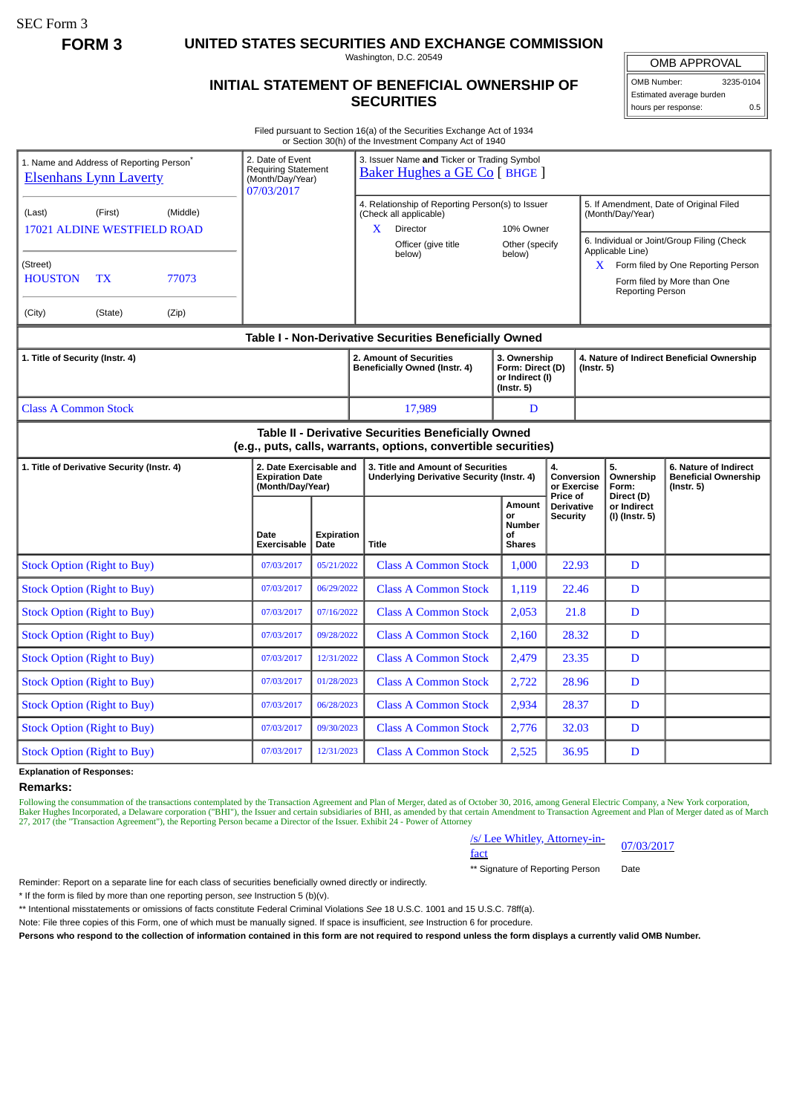SEC Form 3

**FORM 3 UNITED STATES SECURITIES AND EXCHANGE COMMISSION**

Washington, D.C. 20549

## **INITIAL STATEMENT OF BENEFICIAL OWNERSHIP OF SECURITIES**

OMB APPROVAL OMB Number: 3235-0104

Estimated average burden hours per response: 0.5

Filed pursuant to Section 16(a) of the Securities Exchange Act of 1934 or Section 30(h) of the Investment Company Act of 1940

| 1. Name and Address of Reporting Person <sup>®</sup><br><b>Elsenhans Lynn Laverty</b> |                     |       | 2. Date of Event<br><b>Requiring Statement</b><br>(Month/Day/Year)<br>07/03/2017 |                           | 3. Issuer Name and Ticker or Trading Symbol<br>Baker Hughes a GE Co [ BHGE ]                             |                                                                                                                       |                                                                         |                                                  |                                                                                                  |                                                 |  |
|---------------------------------------------------------------------------------------|---------------------|-------|----------------------------------------------------------------------------------|---------------------------|----------------------------------------------------------------------------------------------------------|-----------------------------------------------------------------------------------------------------------------------|-------------------------------------------------------------------------|--------------------------------------------------|--------------------------------------------------------------------------------------------------|-------------------------------------------------|--|
| (Last)                                                                                | (First)<br>(Middle) |       |                                                                                  |                           | 4. Relationship of Reporting Person(s) to Issuer<br>(Check all applicable)<br>X<br>Director<br>10% Owner |                                                                                                                       |                                                                         |                                                  | 5. If Amendment, Date of Original Filed<br>(Month/Day/Year)                                      |                                                 |  |
| <b>17021 ALDINE WESTFIELD ROAD</b>                                                    |                     |       |                                                                                  |                           |                                                                                                          | Officer (give title<br>below)                                                                                         | Other (specify<br>below)                                                |                                                  | 6. Individual or Joint/Group Filing (Check<br>Applicable Line)                                   |                                                 |  |
| (Street)<br><b>HOUSTON</b><br>77073<br><b>TX</b>                                      |                     |       |                                                                                  |                           |                                                                                                          |                                                                                                                       |                                                                         |                                                  | $X$ Form filed by One Reporting Person<br>Form filed by More than One<br><b>Reporting Person</b> |                                                 |  |
| (City)                                                                                | (State)             | (Zip) |                                                                                  |                           |                                                                                                          |                                                                                                                       |                                                                         |                                                  |                                                                                                  |                                                 |  |
|                                                                                       |                     |       |                                                                                  |                           |                                                                                                          | Table I - Non-Derivative Securities Beneficially Owned                                                                |                                                                         |                                                  |                                                                                                  |                                                 |  |
| 1. Title of Security (Instr. 4)                                                       |                     |       |                                                                                  |                           | 2. Amount of Securities<br>Beneficially Owned (Instr. 4)                                                 |                                                                                                                       | 3. Ownership<br>Form: Direct (D)<br>or Indirect (I)<br>$($ lnstr. 5 $)$ |                                                  | 4. Nature of Indirect Beneficial Ownership<br>$($ lnstr. 5 $)$                                   |                                                 |  |
| <b>Class A Common Stock</b>                                                           |                     |       |                                                                                  |                           |                                                                                                          | 17,989                                                                                                                | D                                                                       |                                                  |                                                                                                  |                                                 |  |
|                                                                                       |                     |       |                                                                                  |                           |                                                                                                          | Table II - Derivative Securities Beneficially Owned<br>(e.g., puts, calls, warrants, options, convertible securities) |                                                                         |                                                  |                                                                                                  |                                                 |  |
| 1. Title of Derivative Security (Instr. 4)                                            |                     |       | 2. Date Exercisable and<br><b>Expiration Date</b><br>(Month/Day/Year)            |                           | 3. Title and Amount of Securities<br><b>Underlying Derivative Security (Instr. 4)</b>                    |                                                                                                                       | 4.                                                                      |                                                  | 5.<br>Ownership<br>Form:                                                                         | 6. Nature of Indirect                           |  |
|                                                                                       |                     |       |                                                                                  |                           |                                                                                                          |                                                                                                                       |                                                                         | Conversion<br>or Exercise                        |                                                                                                  | <b>Beneficial Ownership</b><br>$($ Instr. 5 $)$ |  |
|                                                                                       |                     |       | Date<br><b>Exercisable</b>                                                       | <b>Expiration</b><br>Date | <b>Title</b>                                                                                             |                                                                                                                       | Amount<br>or<br><b>Number</b><br>οf<br><b>Shares</b>                    | Price of<br><b>Derivative</b><br><b>Security</b> | Direct (D)<br>or Indirect<br>(I) (Instr. 5)                                                      |                                                 |  |
| <b>Stock Option (Right to Buy)</b>                                                    |                     |       | 07/03/2017                                                                       | 05/21/2022                |                                                                                                          | <b>Class A Common Stock</b>                                                                                           | 1,000                                                                   | 22.93                                            | D                                                                                                |                                                 |  |
| <b>Stock Option (Right to Buy)</b>                                                    |                     |       | 07/03/2017                                                                       | 06/29/2022                |                                                                                                          | <b>Class A Common Stock</b>                                                                                           | 1,119                                                                   | 22.46                                            | D                                                                                                |                                                 |  |
| <b>Stock Option (Right to Buy)</b>                                                    |                     |       | 07/03/2017                                                                       | 07/16/2022                |                                                                                                          | <b>Class A Common Stock</b>                                                                                           | 2,053                                                                   | 21.8                                             | D                                                                                                |                                                 |  |
| <b>Stock Option (Right to Buy)</b>                                                    |                     |       | 07/03/2017                                                                       | 09/28/2022                |                                                                                                          | <b>Class A Common Stock</b>                                                                                           | 2,160                                                                   | 28.32                                            | D                                                                                                |                                                 |  |
| <b>Stock Option (Right to Buy)</b>                                                    |                     |       | 07/03/2017                                                                       | 12/31/2022                |                                                                                                          | <b>Class A Common Stock</b>                                                                                           | 2,479                                                                   | 23.35                                            | D                                                                                                |                                                 |  |
| <b>Stock Option (Right to Buy)</b>                                                    |                     |       | 07/03/2017                                                                       | 01/28/2023                |                                                                                                          | <b>Class A Common Stock</b>                                                                                           | 2,722                                                                   | 28.96                                            | D                                                                                                |                                                 |  |
| <b>Stock Option (Right to Buy)</b>                                                    |                     |       | 07/03/2017                                                                       | 06/28/2023                |                                                                                                          | <b>Class A Common Stock</b>                                                                                           | 2,934                                                                   | 28.37                                            | D                                                                                                |                                                 |  |
| <b>Stock Option (Right to Buy)</b>                                                    |                     |       | 07/03/2017                                                                       | 09/30/2023                |                                                                                                          | <b>Class A Common Stock</b>                                                                                           | 2,776                                                                   | 32.03                                            | D                                                                                                |                                                 |  |

**Explanation of Responses:**

**Remarks:**

Following the consummation of the transactions contemplated by the Transaction Agreement and Plan of Merger, dated as of October 30, 2016, among General Electric Company, a New York corporation, Baker Hughes Incorporated, a Delaware corporation ("BHI"), the Issuer and certain subsidiaries of BHI, as amended by that certain Amendment to Transaction Agreement and Plan of Merger dated as of March<br>27, 2017 (the "Trans

/s/ Lee Whitley, Attorney-in-<br>fact

\*\* Signature of Reporting Person Date

Reminder: Report on a separate line for each class of securities beneficially owned directly or indirectly.

\* If the form is filed by more than one reporting person, *see* Instruction 5 (b)(v).

\*\* Intentional misstatements or omissions of facts constitute Federal Criminal Violations *See* 18 U.S.C. 1001 and 15 U.S.C. 78ff(a).

Note: File three copies of this Form, one of which must be manually signed. If space is insufficient, *see* Instruction 6 for procedure.

**Persons who respond to the collection of information contained in this form are not required to respond unless the form displays a currently valid OMB Number.**